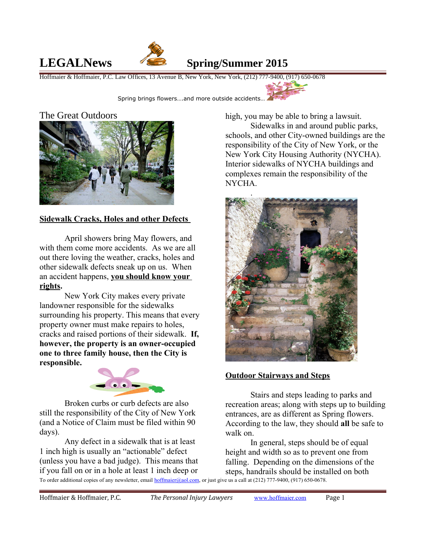

# **LEGALNews Spring/Summer 2015**

Hoffmaier & Hoffmaier, P.C. Law Offices, 13 Avenue B, New York, New York, (212) 777-9400, (917) 650-0678



Spring brings flowers….and more outside accidents…

#### The Great Outdoors



### **Sidewalk Cracks, Holes and other Defects**

April showers bring May flowers, and with them come more accidents. As we are all out there loving the weather, cracks, holes and other sidewalk defects sneak up on us. When an accident happens, **you should know your rights.**

New York City makes every private landowner responsible for the sidewalks surrounding his property. This means that every property owner must make repairs to holes, cracks and raised portions of their sidewalk. **If, however, the property is an owner-occupied one to three family house, then the City is responsible.**



Broken curbs or curb defects are also still the responsibility of the City of New York (and a Notice of Claim must be filed within 90 days).

Any defect in a sidewalk that is at least 1 inch high is usually an "actionable" defect (unless you have a bad judge). This means that if you fall on or in a hole at least 1 inch deep or To order additional copies of any newsletter, email [hoffmaier@aol.com,](mailto:hoffmaier@aol.com) or just give us a call at (212) 777-9400, (917) 650-0678.

high, you may be able to bring a lawsuit.

Sidewalks in and around public parks, schools, and other City-owned buildings are the responsibility of the City of New York, or the New York City Housing Authority (NYCHA). Interior sidewalks of NYCHA buildings and complexes remain the responsibility of the NYCHA.



#### **Outdoor Stairways and Steps**

Stairs and steps leading to parks and recreation areas; along with steps up to building entrances, are as different as Spring flowers. According to the law, they should **all** be safe to walk on.

In general, steps should be of equal height and width so as to prevent one from falling. Depending on the dimensions of the steps, handrails should be installed on both